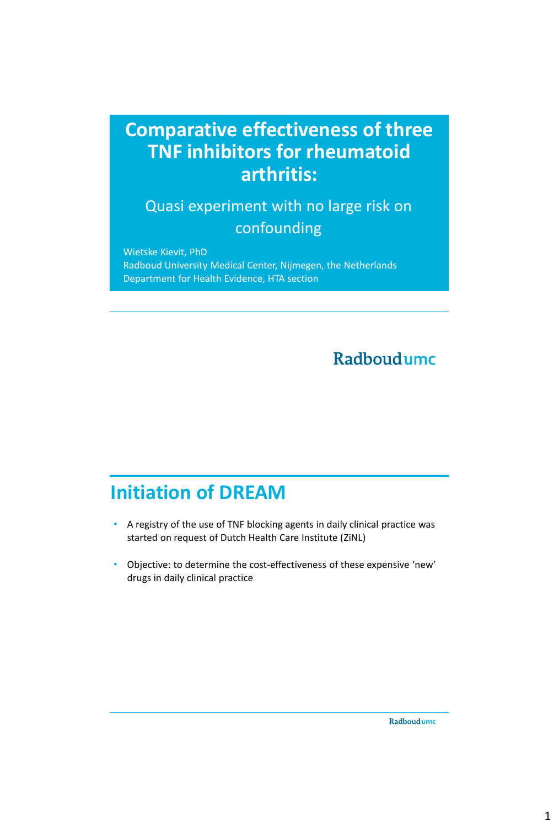### **Comparative effectiveness of three TNF inhibitors for rheumatoid arthritis:**

Quasi experiment with no large risk on confounding

Wietske Kievit, PhD Radboud University Medical Center, Nijmegen, the Netherlands Department for Health Evidence, HTA section

#### Radboudumc

### **Initiation of DREAM**

- A registry of the use of TNF blocking agents in daily clinical practice was started on request of Dutch Health Care Institute (ZiNL)
- Objective: to determine the cost-effectiveness of these expensive 'new' drugs in daily clinical practice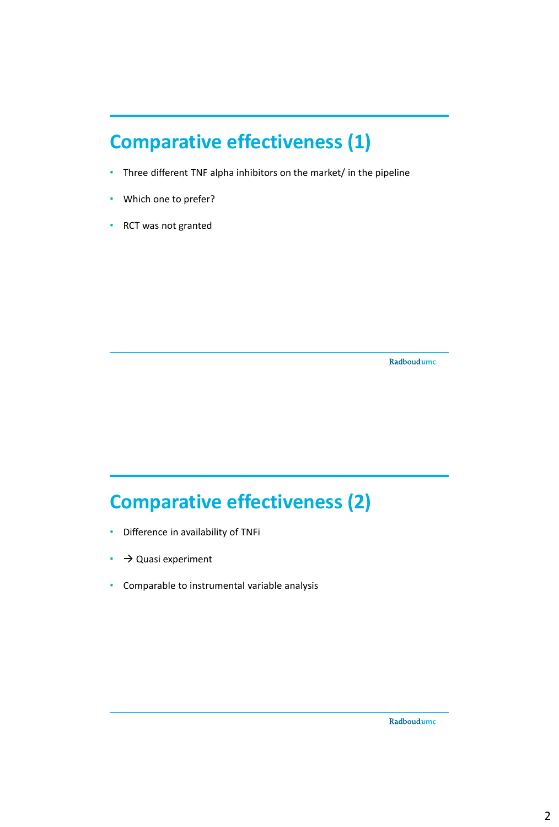# **Comparative effectiveness (1)**

- Three different TNF alpha inhibitors on the market/ in the pipeline
- Which one to prefer?
- RCT was not granted

Radboudumc

# **Comparative effectiveness (2)**

- Difference in availability of TNFi
- $\cdot$   $\rightarrow$  Quasi experiment
- Comparable to instrumental variable analysis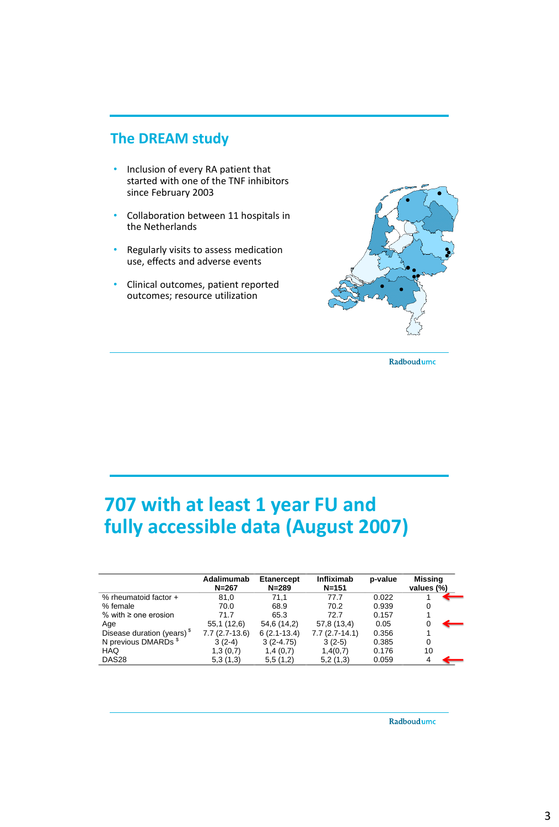#### **The DREAM study**

- Inclusion of every RA patient that started with one of the TNF inhibitors since February 2003
- Collaboration between 11 hospitals in the Netherlands
- Regularly visits to assess medication use, effects and adverse events
- Clinical outcomes, patient reported outcomes; resource utilization



Radboudumc

## **707 with at least 1 year FU and fully accessible data (August 2007)**

|                                        | Adalimumab<br>$N = 267$ | <b>Etanercept</b><br>$N = 289$ | Infliximab<br>$N = 151$ | p-value | Missing<br>values (%) |
|----------------------------------------|-------------------------|--------------------------------|-------------------------|---------|-----------------------|
| % rheumatoid factor +                  | 81.0                    | 71.1                           | 77.7                    | 0.022   |                       |
| % female                               | 70.0                    | 68.9                           | 70.2                    | 0.939   | 0                     |
| % with $\geq$ one erosion              | 71.7                    | 65.3                           | 72.7                    | 0.157   |                       |
| Age                                    | 55,1 (12,6)             | 54,6 (14,2)                    | 57,8 (13,4)             | 0.05    |                       |
| Disease duration (years) <sup>\$</sup> | 7.7 (2.7-13.6)          | $6(2.1-13.4)$                  | $7.7(2.7-14.1)$         | 0.356   |                       |
| N previous DMARDs <sup>\$</sup>        | $3(2-4)$                | $3(2-4.75)$                    | $3(2-5)$                | 0.385   | 0                     |
| HAQ                                    | 1,3(0,7)                | 1,4(0,7)                       | 1,4(0,7)                | 0.176   | 10                    |
| DAS <sub>28</sub>                      | 5,3(1,3)                | 5,5(1,2)                       | 5,2(1,3)                | 0.059   |                       |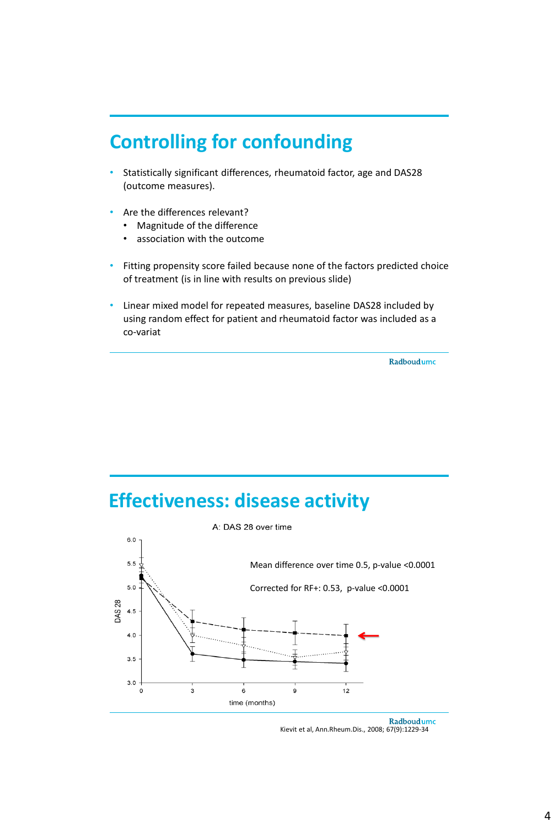### **Controlling for confounding**

- Statistically significant differences, rheumatoid factor, age and DAS28 (outcome measures).
- Are the differences relevant?
	- Magnitude of the difference
	- association with the outcome
- Fitting propensity score failed because none of the factors predicted choice of treatment (is in line with results on previous slide)
- Linear mixed model for repeated measures, baseline DAS28 included by using random effect for patient and rheumatoid factor was included as a co-variat

Radboudumc

#### **Effectiveness: disease activity**



Radboudumc Kievit et al, Ann.Rheum.Dis., 2008; 67(9):1229-34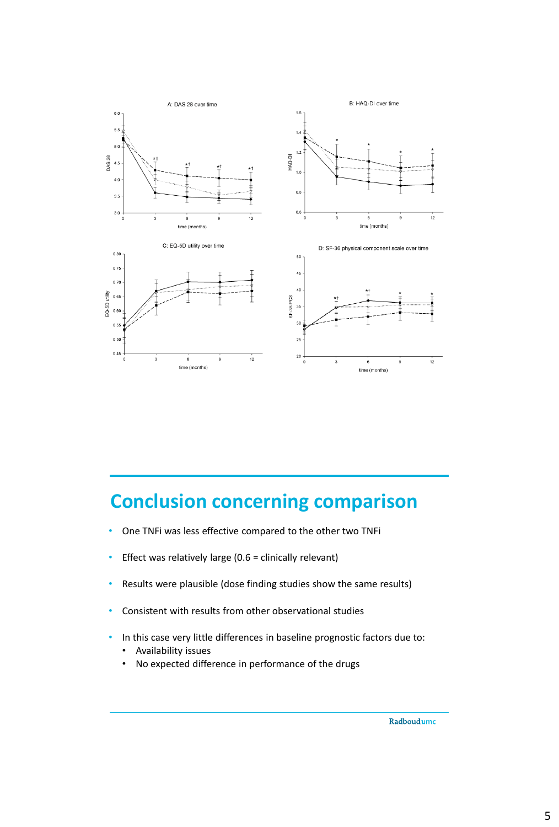

# **Conclusion concerning comparison**

- One TNFi was less effective compared to the other two TNFi
- Effect was relatively large (0.6 = clinically relevant)
- Results were plausible (dose finding studies show the same results)
- Consistent with results from other observational studies
- In this case very little differences in baseline prognostic factors due to:
	- Availability issues
	- No expected difference in performance of the drugs